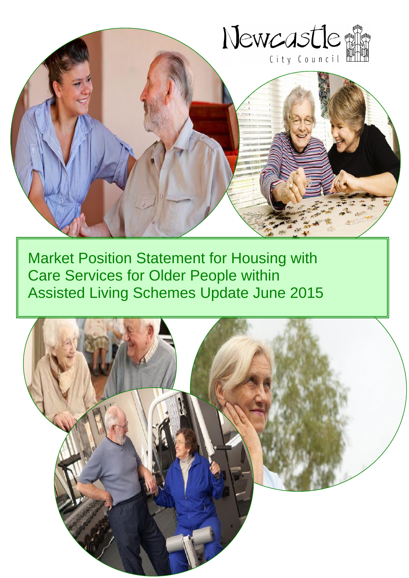

Market Position Statement for Housing with Care Services for Older People within Assisted Living Schemes Update June 2015

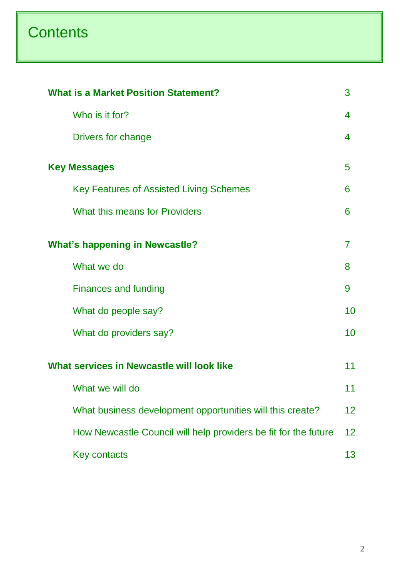# **Contents**

|                                                                                                                                                                                                                                                                                                                                                                                                                | 3  |  |  |
|----------------------------------------------------------------------------------------------------------------------------------------------------------------------------------------------------------------------------------------------------------------------------------------------------------------------------------------------------------------------------------------------------------------|----|--|--|
| Who is it for?                                                                                                                                                                                                                                                                                                                                                                                                 | 4  |  |  |
| Drivers for change                                                                                                                                                                                                                                                                                                                                                                                             | 4  |  |  |
| <b>What is a Market Position Statement?</b><br>5<br><b>Key Messages</b><br><b>Key Features of Assisted Living Schemes</b><br>6<br>What this means for Providers<br>6<br>7<br>What we do<br>8<br><b>Finances and funding</b><br>9<br>What do people say?<br>What do providers say?<br>What services in Newcastle will look like<br>What we will do<br>What business development opportunities will this create? |    |  |  |
|                                                                                                                                                                                                                                                                                                                                                                                                                |    |  |  |
|                                                                                                                                                                                                                                                                                                                                                                                                                |    |  |  |
| <b>What's happening in Newcastle?</b>                                                                                                                                                                                                                                                                                                                                                                          |    |  |  |
|                                                                                                                                                                                                                                                                                                                                                                                                                |    |  |  |
|                                                                                                                                                                                                                                                                                                                                                                                                                |    |  |  |
|                                                                                                                                                                                                                                                                                                                                                                                                                | 10 |  |  |
|                                                                                                                                                                                                                                                                                                                                                                                                                | 10 |  |  |
|                                                                                                                                                                                                                                                                                                                                                                                                                | 11 |  |  |
|                                                                                                                                                                                                                                                                                                                                                                                                                | 11 |  |  |
|                                                                                                                                                                                                                                                                                                                                                                                                                | 12 |  |  |
| How Newcastle Council will help providers be fit for the future                                                                                                                                                                                                                                                                                                                                                | 12 |  |  |
| <b>Key contacts</b>                                                                                                                                                                                                                                                                                                                                                                                            | 13 |  |  |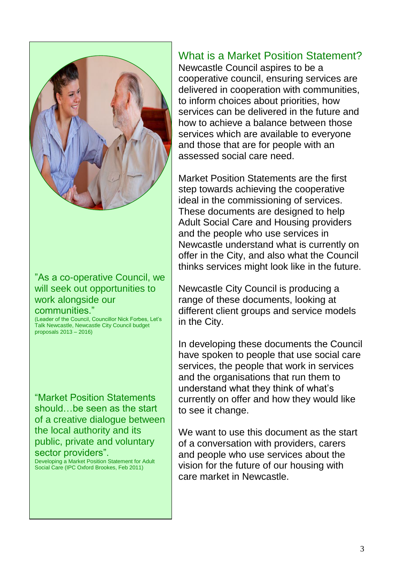

#### "As a co-operative Council, we will seek out opportunities to work alongside our communities."

(Leader of the Council, Councillor Nick Forbes, Let's Talk Newcastle, Newcastle City Council budget proposals 2013 – 2016)

"Market Position Statements should…be seen as the start of a creative dialogue between the local authority and its public, private and voluntary sector providers". Developing a Market Position Statement for Adult

Social Care (IPC Oxford Brookes, Feb 2011)

## What is a Market Position Statement?

Newcastle Council aspires to be a cooperative council, ensuring services are delivered in cooperation with communities, to inform choices about priorities, how services can be delivered in the future and how to achieve a balance between those services which are available to everyone and those that are for people with an assessed social care need.

Market Position Statements are the first step towards achieving the cooperative ideal in the commissioning of services. These documents are designed to help Adult Social Care and Housing providers and the people who use services in Newcastle understand what is currently on offer in the City, and also what the Council thinks services might look like in the future.

Newcastle City Council is producing a range of these documents, looking at different client groups and service models in the City.

In developing these documents the Council have spoken to people that use social care services, the people that work in services and the organisations that run them to understand what they think of what's currently on offer and how they would like to see it change.

We want to use this document as the start of a conversation with providers, carers and people who use services about the vision for the future of our housing with care market in Newcastle.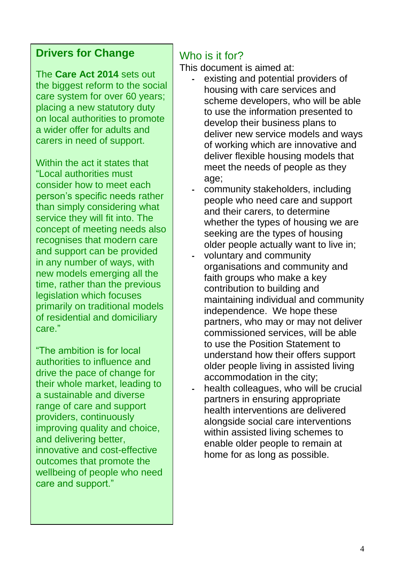## **Drivers for Change**

The **Care Act 2014** sets out the biggest reform to the social care system for over 60 years; placing a new statutory duty on local authorities to promote a wider offer for adults and carers in need of support.

Within the act it states that "Local authorities must consider how to meet each person's specific needs rather than simply considering what service they will fit into. The concept of meeting needs also recognises that modern care and support can be provided in any number of ways, with new models emerging all the time, rather than the previous legislation which focuses primarily on traditional models of residential and domiciliary care."

"The ambition is for local authorities to influence and drive the pace of change for their whole market, leading to a sustainable and diverse range of care and support providers, continuously improving quality and choice, and delivering better, innovative and cost-effective outcomes that promote the wellbeing of people who need care and support."

## Who is it for?

This document is aimed at:

- **-** existing and potential providers of housing with care services and scheme developers, who will be able to use the information presented to develop their business plans to deliver new service models and ways of working which are innovative and deliver flexible housing models that meet the needs of people as they age;
- **-** community stakeholders, including people who need care and support and their carers, to determine whether the types of housing we are seeking are the types of housing older people actually want to live in;
- **-** voluntary and community organisations and community and faith groups who make a key contribution to building and maintaining individual and community independence. We hope these partners, who may or may not deliver commissioned services, will be able to use the Position Statement to understand how their offers support older people living in assisted living accommodation in the city;
- **-** health colleagues, who will be crucial partners in ensuring appropriate health interventions are delivered alongside social care interventions within assisted living schemes to enable older people to remain at home for as long as possible.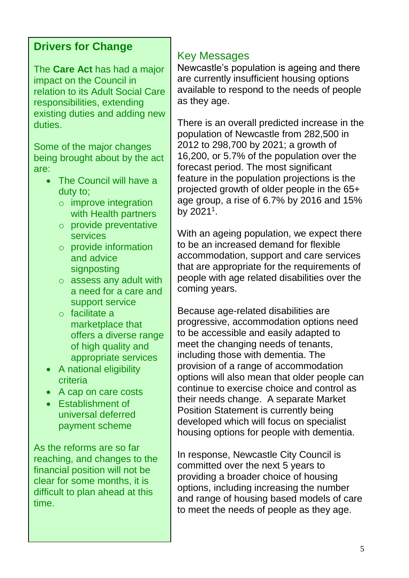## **Drivers for Change**

The **Care Act** has had a major impact on the Council in relation to its Adult Social Care responsibilities, extending existing duties and adding new duties.

Some of the major changes being brought about by the act are:

- The Council will have a duty to;
	- o improve integration with Health partners
	- o provide preventative services
	- o provide information and advice signposting
	- o assess any adult with a need for a care and support service
	- o facilitate a marketplace that offers a diverse range of high quality and appropriate services
- A national eligibility criteria
- A cap on care costs
- Establishment of universal deferred payment scheme

As the reforms are so far reaching, and changes to the financial position will not be clear for some months, it is difficult to plan ahead at this time.

#### Key Messages

Newcastle's population is ageing and there are currently insufficient housing options available to respond to the needs of people as they age.

There is an overall predicted increase in the population of Newcastle from 282,500 in 2012 to 298,700 by 2021; a growth of 16,200, or 5.7% of the population over the forecast period. The most significant feature in the population projections is the projected growth of older people in the 65+ age group, a rise of 6.7% by 2016 and 15% by 2021<sup>1</sup>.

With an ageing population, we expect there to be an increased demand for flexible accommodation, support and care services that are appropriate for the requirements of people with age related disabilities over the coming years.

Because age-related disabilities are progressive, accommodation options need to be accessible and easily adapted to meet the changing needs of tenants, including those with dementia. The provision of a range of accommodation options will also mean that older people can continue to exercise choice and control as their needs change. A separate Market Position Statement is currently being developed which will focus on specialist housing options for people with dementia.

In response, Newcastle City Council is committed over the next 5 years to providing a broader choice of housing options, including increasing the number and range of housing based models of care to meet the needs of people as they age.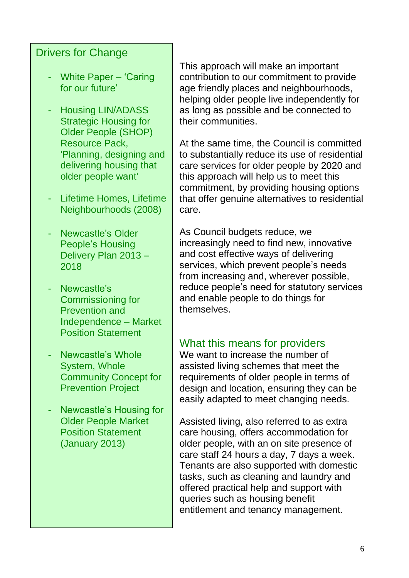## Drivers for Change

- White Paper 'Caring for our future'
- Housing LIN/ADASS Strategic Housing for Older People (SHOP) Resource Pack, 'Planning, designing and delivering housing that older people want'
- Lifetime Homes, Lifetime Neighbourhoods (2008)
- Newcastle's Older People's Housing Delivery Plan 2013 – 2018
- Newcastle's Commissioning for Prevention and Independence – Market Position Statement
- Newcastle's Whole System, Whole Community Concept for **Prevention Project**
- Newcastle's Housing for Older People Market Position Statement (January 2013)

This approach will make an important contribution to our commitment to provide age friendly places and neighbourhoods, helping older people live independently for as long as possible and be connected to their communities.

At the same time, the Council is committed to substantially reduce its use of residential care services for older people by 2020 and this approach will help us to meet this commitment, by providing housing options that offer genuine alternatives to residential care.

As Council budgets reduce, we increasingly need to find new, innovative and cost effective ways of delivering services, which prevent people's needs from increasing and, wherever possible, reduce people's need for statutory services and enable people to do things for themselves.

#### What this means for providers

We want to increase the number of assisted living schemes that meet the requirements of older people in terms of design and location, ensuring they can be easily adapted to meet changing needs.

Assisted living, also referred to as extra care housing, offers accommodation for older people, with an on site presence of care staff 24 hours a day, 7 days a week. Tenants are also supported with domestic tasks, such as cleaning and laundry and offered practical help and support with queries such as housing benefit entitlement and tenancy management.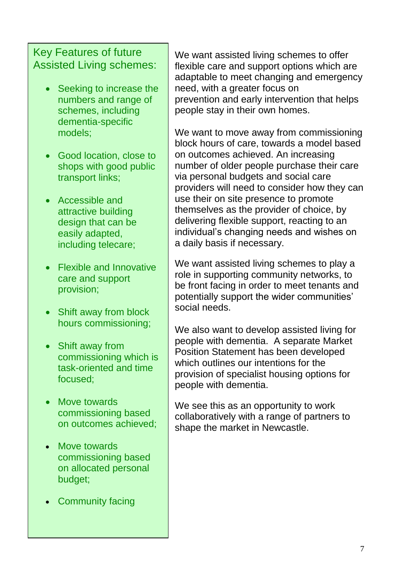## Key Features of future Assisted Living schemes:

- Seeking to increase the numbers and range of schemes, including dementia-specific models;
- Good location, close to shops with good public transport links;
- Accessible and attractive building design that can be easily adapted, including telecare;
- Flexible and Innovative care and support provision;
- Shift away from block hours commissioning;
- Shift away from commissioning which is task-oriented and time focused;
- Move towards commissioning based on outcomes achieved;
- Move towards commissioning based on allocated personal budget;
- Community facing

We want assisted living schemes to offer flexible care and support options which are adaptable to meet changing and emergency need, with a greater focus on prevention and early intervention that helps people stay in their own homes.

We want to move away from commissioning block hours of care, towards a model based on outcomes achieved. An increasing number of older people purchase their care via personal budgets and social care providers will need to consider how they can use their on site presence to promote themselves as the provider of choice, by delivering flexible support, reacting to an individual's changing needs and wishes on a daily basis if necessary.

We want assisted living schemes to play a role in supporting community networks, to be front facing in order to meet tenants and potentially support the wider communities' social needs.

We also want to develop assisted living for people with dementia. A separate Market Position Statement has been developed which outlines our intentions for the provision of specialist housing options for people with dementia.

We see this as an opportunity to work collaboratively with a range of partners to shape the market in Newcastle.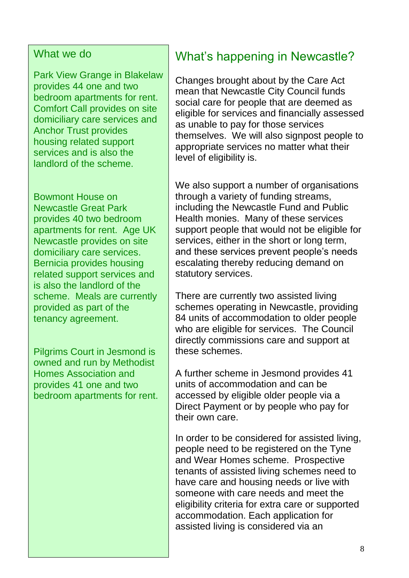#### What we do

Park View Grange in Blakelaw provides 44 one and two bedroom apartments for rent. Comfort Call provides on site domiciliary care services and Anchor Trust provides housing related support services and is also the landlord of the scheme.

Bowmont House on Newcastle Great Park provides 40 two bedroom apartments for rent. Age UK Newcastle provides on site domiciliary care services. Bernicia provides housing related support services and is also the landlord of the scheme. Meals are currently provided as part of the tenancy agreement.

Pilgrims Court in Jesmond is owned and run by Methodist Homes Association and provides 41 one and two bedroom apartments for rent.

## What's happening in Newcastle?

Changes brought about by the Care Act mean that Newcastle City Council funds social care for people that are deemed as eligible for services and financially assessed as unable to pay for those services themselves. We will also signpost people to appropriate services no matter what their level of eligibility is.

We also support a number of organisations through a variety of funding streams, including the Newcastle Fund and Public Health monies. Many of these services support people that would not be eligible for services, either in the short or long term, and these services prevent people's needs escalating thereby reducing demand on statutory services.

There are currently two assisted living schemes operating in Newcastle, providing 84 units of accommodation to older people who are eligible for services. The Council directly commissions care and support at these schemes.

A further scheme in Jesmond provides 41 units of accommodation and can be accessed by eligible older people via a Direct Payment or by people who pay for their own care.

In order to be considered for assisted living, people need to be registered on the Tyne and Wear Homes scheme. Prospective tenants of assisted living schemes need to have care and housing needs or live with someone with care needs and meet the eligibility criteria for extra care or supported accommodation. Each application for assisted living is considered via an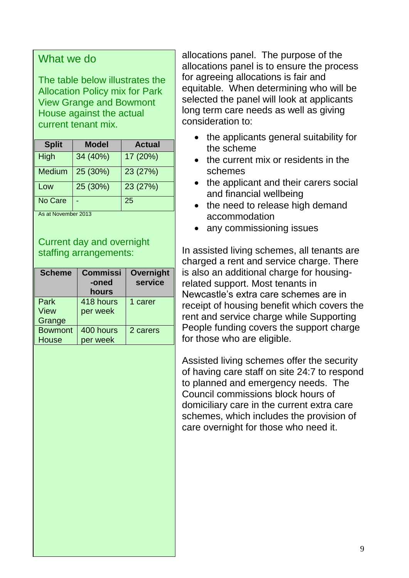#### What we do

The table below illustrates the Allocation Policy mix for Park View Grange and Bowmont House against the actual current tenant mix.

| <b>Split</b>  | Model    | <b>Actual</b> |
|---------------|----------|---------------|
| High          | 34 (40%) | 17 (20%)      |
| <b>Medium</b> | 25 (30%) | 23 (27%)      |
| Low           | 25 (30%) | 23 (27%)      |
| No Care       |          | 25            |

As at November 2013

Current day and overnight staffing arrangements:

| <b>Scheme</b>  | <b>Commissi</b><br>-oned<br>hours | <b>Overnight</b><br>service |
|----------------|-----------------------------------|-----------------------------|
| Park           | 418 hours                         | 1 carer                     |
| <b>View</b>    | per week                          |                             |
| Grange         |                                   |                             |
| <b>Bowmont</b> | 400 hours                         | 2 carers                    |
| House          | per week                          |                             |

allocations panel. The purpose of the allocations panel is to ensure the process for agreeing allocations is fair and equitable. When determining who will be selected the panel will look at applicants long term care needs as well as giving consideration to:

- the applicants general suitability for the scheme
- the current mix or residents in the schemes
- the applicant and their carers social and financial wellbeing
- the need to release high demand accommodation
- any commissioning issues

In assisted living schemes, all tenants are charged a rent and service charge. There is also an additional charge for housingrelated support. Most tenants in Newcastle's extra care schemes are in receipt of housing benefit which covers the rent and service charge while Supporting People funding covers the support charge for those who are eligible.

Assisted living schemes offer the security of having care staff on site 24:7 to respond to planned and emergency needs. The Council commissions block hours of domiciliary care in the current extra care schemes, which includes the provision of care overnight for those who need it.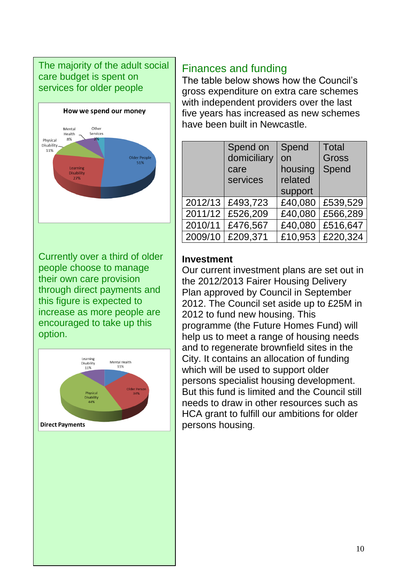#### The majority of the adult social care budget is spent on services for older people



Currently over a third of older people choose to manage their own care provision through direct payments and this figure is expected to increase as more people are encouraged to take up this option.



## Finances and funding

The table below shows how the Council's gross expenditure on extra care schemes with independent providers over the last five years has increased as new schemes have been built in Newcastle.

|         | Spend on    | Spend   | <b>Total</b> |
|---------|-------------|---------|--------------|
|         | domiciliary | on      | <b>Gross</b> |
|         | care        | housing | Spend        |
|         | services    | related |              |
|         |             | support |              |
| 2012/13 | £493,723    | £40,080 | £539,529     |
| 2011/12 | £526,209    | £40,080 | £566,289     |
| 2010/11 | £476,567    | £40,080 | £516,647     |
| 2009/10 | £209,371    | £10,953 | £220,324     |

#### **Investment**

Our current investment plans are set out in the 2012/2013 Fairer Housing Delivery Plan approved by Council in September 2012. The Council set aside up to £25M in 2012 to fund new housing. This programme (the Future Homes Fund) will help us to meet a range of housing needs and to regenerate brownfield sites in the City. It contains an allocation of funding which will be used to support older persons specialist housing development. But this fund is limited and the Council still needs to draw in other resources such as HCA grant to fulfill our ambitions for older persons housing.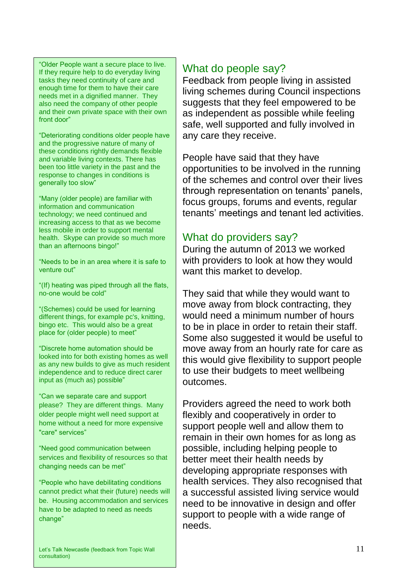"Older People want a secure place to live. If they require help to do everyday living tasks they need continuity of care and enough time for them to have their care needs met in a dignified manner. They also need the company of other people and their own private space with their own front door"

"Deteriorating conditions older people have and the progressive nature of many of these conditions rightly demands flexible and variable living contexts. There has been too little variety in the past and the response to changes in conditions is generally too slow"

"Many (older people) are familiar with information and communication technology; we need continued and increasing access to that as we become less mobile in order to support mental health. Skype can provide so much more than an afternoons bingo!"

"Needs to be in an area where it is safe to venture out"

"(If) heating was piped through all the flats, no-one would be cold"

"(Schemes) could be used for learning different things, for example pc's, knitting, bingo etc. This would also be a great place for (older people) to meet"

"Discrete home automation should be looked into for both existing homes as well as any new builds to give as much resident independence and to reduce direct carer input as (much as) possible"

"Can we separate care and support please? They are different things. Many older people might well need support at home without a need for more expensive "care" services"

"Need good communication between services and flexibility of resources so that changing needs can be met"

"People who have debilitating conditions cannot predict what their (future) needs will be. Housing accommodation and services have to be adapted to need as needs change"

## What do people say?

Feedback from people living in assisted living schemes during Council inspections suggests that they feel empowered to be as independent as possible while feeling safe, well supported and fully involved in any care they receive.

People have said that they have opportunities to be involved in the running of the schemes and control over their lives through representation on tenants' panels, focus groups, forums and events, regular tenants' meetings and tenant led activities.

### What do providers say?

During the autumn of 2013 we worked with providers to look at how they would want this market to develop.

They said that while they would want to move away from block contracting, they would need a minimum number of hours to be in place in order to retain their staff. Some also suggested it would be useful to move away from an hourly rate for care as this would give flexibility to support people to use their budgets to meet wellbeing outcomes.

Providers agreed the need to work both flexibly and cooperatively in order to support people well and allow them to remain in their own homes for as long as possible, including helping people to better meet their health needs by developing appropriate responses with health services. They also recognised that a successful assisted living service would need to be innovative in design and offer support to people with a wide range of needs.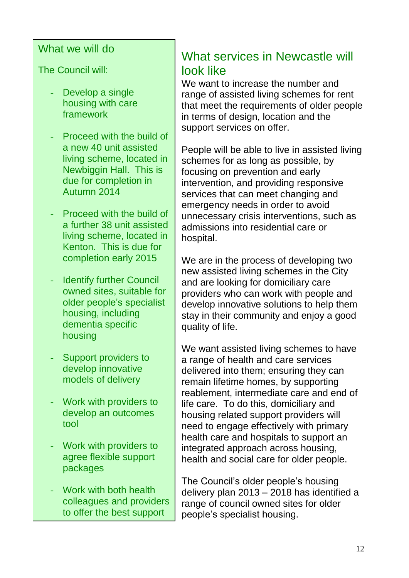#### What we will do

The Council will:

- Develop a single housing with care framework
- Proceed with the build of a new 40 unit assisted living scheme, located in Newbiggin Hall. This is due for completion in Autumn 2014
- Proceed with the build of a further 38 unit assisted living scheme, located in Kenton. This is due for completion early 2015
- Identify further Council owned sites, suitable for older people's specialist housing, including dementia specific housing
- Support providers to develop innovative models of delivery
- **Work with providers to** develop an outcomes tool
- **Work with providers to** agree flexible support packages
- Work with both health colleagues and providers to offer the best support

<u>possible pro</u>

## What services in Newcastle will look like

We want to increase the number and range of assisted living schemes for rent that meet the requirements of older people in terms of design, location and the support services on offer.

People will be able to live in assisted living schemes for as long as possible, by focusing on prevention and early intervention, and providing responsive services that can meet changing and emergency needs in order to avoid unnecessary crisis interventions, such as admissions into residential care or hospital.

We are in the process of developing two new assisted living schemes in the City and are looking for domiciliary care providers who can work with people and develop innovative solutions to help them stay in their community and enjoy a good quality of life.

We want assisted living schemes to have a range of health and care services delivered into them; ensuring they can remain lifetime homes, by supporting reablement, intermediate care and end of life care. To do this, domiciliary and housing related support providers will need to engage effectively with primary health care and hospitals to support an integrated approach across housing, health and social care for older people.

The Council's older people's housing delivery plan 2013 – 2018 has identified a range of council owned sites for older people's specialist housing.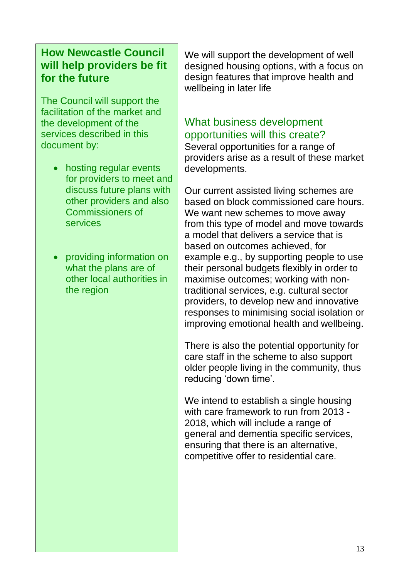## **How Newcastle Council will help providers be fit for the future**

The Council will support the facilitation of the market and the development of the services described in this document by:

- hosting regular events for providers to meet and discuss future plans with other providers and also Commissioners of services
- providing information on what the plans are of other local authorities in the region

We will support the development of well designed housing options, with a focus on design features that improve health and wellbeing in later life

## What business development opportunities will this create?

Several opportunities for a range of providers arise as a result of these market developments.

Our current assisted living schemes are based on block commissioned care hours. We want new schemes to move away from this type of model and move towards a model that delivers a service that is based on outcomes achieved, for example e.g., by supporting people to use their personal budgets flexibly in order to maximise outcomes; working with nontraditional services, e.g. cultural sector providers, to develop new and innovative responses to minimising social isolation or improving emotional health and wellbeing.

There is also the potential opportunity for care staff in the scheme to also support older people living in the community, thus reducing 'down time'.

We intend to establish a single housing with care framework to run from 2013 - 2018, which will include a range of general and dementia specific services, ensuring that there is an alternative, competitive offer to residential care.